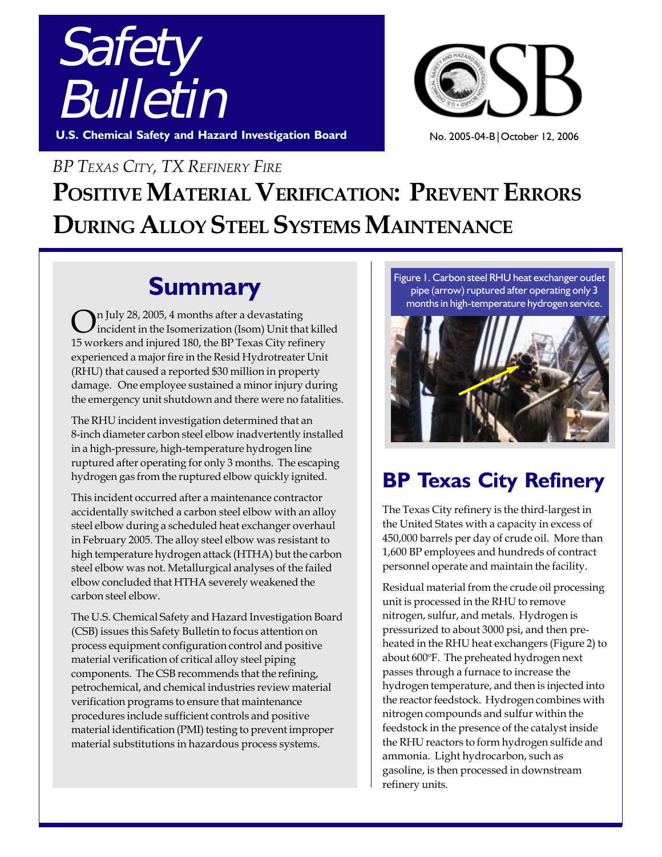



No. 2005-04-B|October 12, 2006

# *BP TEXAS CITY, TX REFINERY FIRE* **POSITIVE MATERIAL VERIFICATION: PREVENT ERRORS DURING ALLOY STEEL SYSTEMS MAINTENANCE**

# **Summary**

In July 28, 2005, 4 months after a devastating incident in the Isomerization (Isom) Unit that killed 15 workers and injured 180, the BP Texas City refinery experienced a major fire in the Resid Hydrotreater Unit (RHU) that caused a reported \$30 million in property damage. One employee sustained a minor injury during the emergency unit shutdown and there were no fatalities.

The RHU incident investigation determined that an 8-inch diameter carbon steel elbow inadvertently installed in a high-pressure, high-temperature hydrogen line ruptured after operating for only 3 months. The escaping hydrogen gas from the ruptured elbow quickly ignited.

This incident occurred after a maintenance contractor accidentally switched a carbon steel elbow with an alloy steel elbow during a scheduled heat exchanger overhaul in February 2005. The alloy steel elbow was resistant to high temperature hydrogen attack (HTHA) but the carbon steel elbow was not. Metallurgical analyses of the failed elbow concluded that HTHA severely weakened the carbon steel elbow.

The U.S. Chemical Safety and Hazard Investigation Board (CSB) issues this Safety Bulletin to focus attention on process equipment configuration control and positive material verification of critical alloy steel piping components. The CSB recommends that the refining, petrochemical, and chemical industries review material verification programs to ensure that maintenance procedures include sufficient controls and positive material identification (PMI) testing to prevent improper material substitutions in hazardous process systems.

Figure 1. Carbon steel RHU heat exchanger outlet pipe (arrow) ruptured after operating only 3 months in high-temperature hydrogen service.



## **BP Texas City Refinery**

The Texas City refinery is the third-largest in the United States with a capacity in excess of 450,000 barrels per day of crude oil. More than 1,600 BP employees and hundreds of contract personnel operate and maintain the facility.

Residual material from the crude oil processing unit is processed in the RHU to remove nitrogen, sulfur, and metals. Hydrogen is pressurized to about 3000 psi, and then preheated in the RHU heat exchangers (Figure 2) to about 600°F. The preheated hydrogen next passes through a furnace to increase the hydrogen temperature, and then is injected into the reactor feedstock. Hydrogen combines with nitrogen compounds and sulfur within the feedstock in the presence of the catalyst inside the RHU reactors to form hydrogen sulfide and ammonia. Light hydrocarbon, such as gasoline, is then processed in downstream refinery units.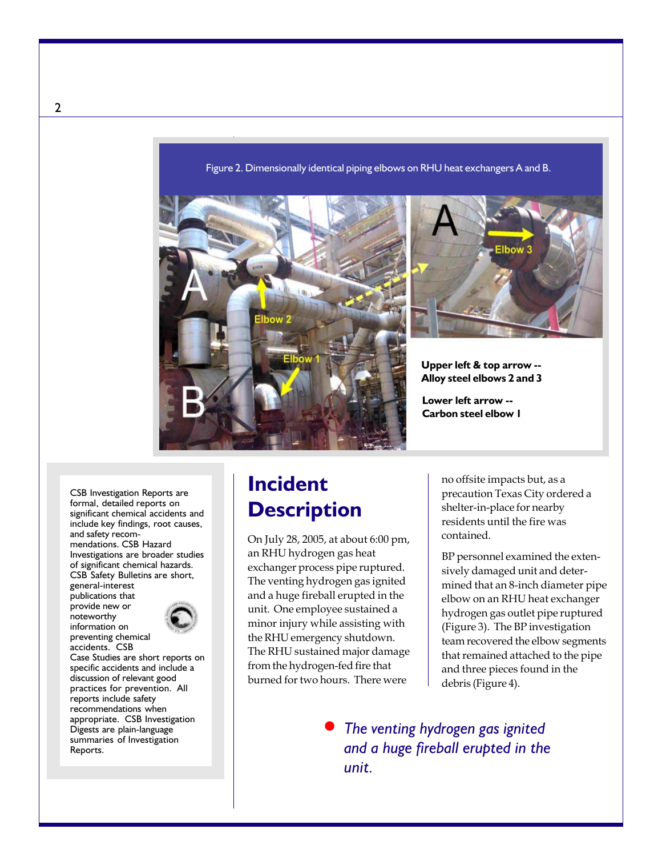Figure 2. Dimensionally identical piping elbows on RHU heat exchangers A and B.





**Upper left & top arrow -- Alloy steel elbows 2 and 3**

**Lower left arrow -- Carbon steel elbow 1**

CSB Investigation Reports are formal, detailed reports on significant chemical accidents and include key findings, root causes, and safety recommendations. CSB Hazard Investigations are broader studies of significant chemical hazards. CSB Safety Bulletins are short, general-interest

publications that provide new or noteworthy information on preventing chemical



accidents. CSB Case Studies are short reports on specific accidents and include a discussion of relevant good practices for prevention. All reports include safety recommendations when appropriate. CSB Investigation Digests are plain-language summaries of Investigation Reports.

## **Incident Description**

On July 28, 2005, at about 6:00 pm, an RHU hydrogen gas heat exchanger process pipe ruptured. The venting hydrogen gas ignited and a huge fireball erupted in the unit. One employee sustained a minor injury while assisting with the RHU emergency shutdown. The RHU sustained major damage from the hydrogen-fed fire that burned for two hours. There were

no offsite impacts but, as a precaution Texas City ordered a shelter-in-place for nearby residents until the fire was contained.

BP personnel examined the extensively damaged unit and determined that an 8-inch diameter pipe elbow on an RHU heat exchanger hydrogen gas outlet pipe ruptured (Figure 3). The BP investigation team recovered the elbow segments that remained attached to the pipe and three pieces found in the debris (Figure 4).

*The venting hydrogen gas ignited and a huge fireball erupted in the unit.*  $\bullet$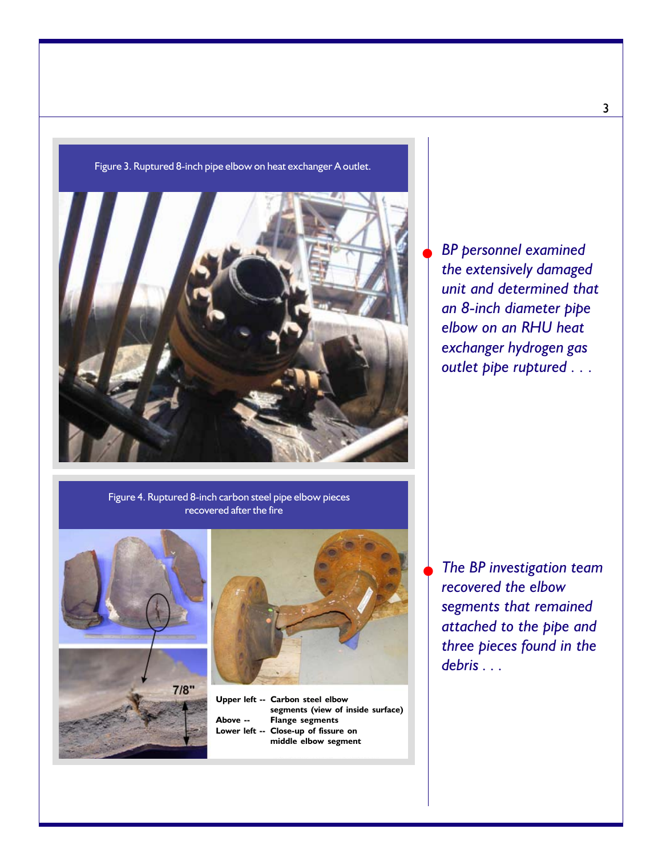

Figure 3. Ruptured 8-inch pipe elbow on heat exchanger A outlet.

Figure 4. Ruptured 8-inch carbon steel pipe elbow pieces recovered after the fire







**Upper left -- Carbon steel elbow segments (view of inside surface) Above -- Flange segments Close-up of fissure on middle elbow segment**

*The BP investigation team recovered the elbow segments that remained attached to the pipe and three pieces found in the debris . . .*

 $\blacklozenge$ 

*BP personnel examined the extensively damaged unit and determined that an 8-inch diameter pipe elbow on an RHU heat exchanger hydrogen gas outlet pipe ruptured . . .*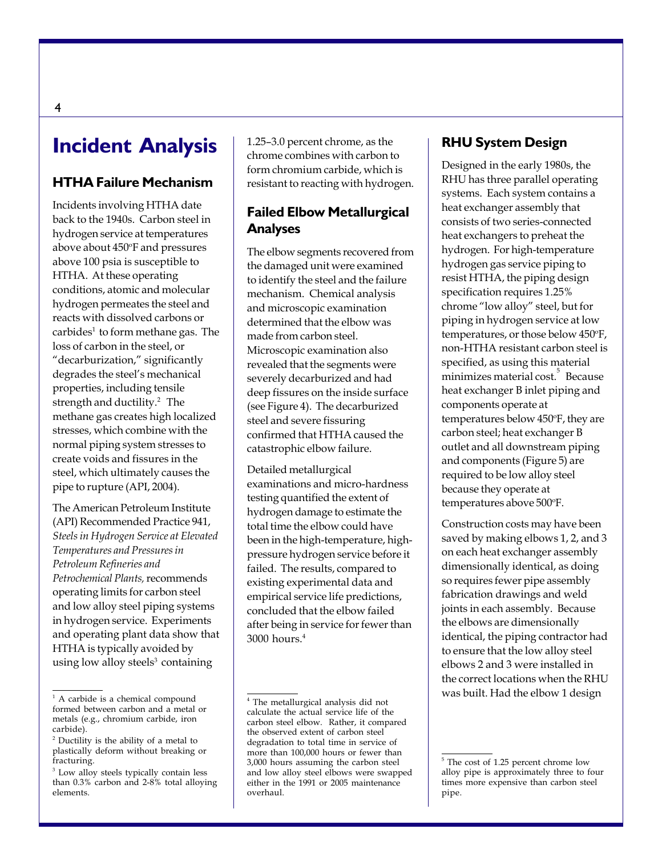## **Incident Analysis**

#### **HTHA Failure Mechanism**

Incidents involving HTHA date back to the 1940s. Carbon steel in hydrogen service at temperatures above about 450°F and pressures above 100 psia is susceptible to HTHA. At these operating conditions, atomic and molecular hydrogen permeates the steel and reacts with dissolved carbons or carbides<sup>1</sup> to form methane gas. The loss of carbon in the steel, or "decarburization," significantly degrades the steel's mechanical properties, including tensile strength and ductility.<sup>2</sup> The methane gas creates high localized stresses, which combine with the normal piping system stresses to create voids and fissures in the steel, which ultimately causes the pipe to rupture (API, 2004).

The American Petroleum Institute (API) Recommended Practice 941, *Steels in Hydrogen Service at Elevated Temperatures and Pressures in Petroleum Refineries and Petrochemical Plants,* recommends operating limits for carbon steel and low alloy steel piping systems in hydrogen service. Experiments and operating plant data show that HTHA is typically avoided by using low alloy steels $3$  containing

1.25–3.0 percent chrome, as the chrome combines with carbon to form chromium carbide, which is resistant to reacting with hydrogen.

#### **Failed Elbow Metallurgical Analyses**

The elbow segments recovered from the damaged unit were examined to identify the steel and the failure mechanism. Chemical analysis and microscopic examination determined that the elbow was made from carbon steel. Microscopic examination also revealed that the segments were severely decarburized and had deep fissures on the inside surface (see Figure 4). The decarburized steel and severe fissuring confirmed that HTHA caused the catastrophic elbow failure.

Detailed metallurgical examinations and micro-hardness testing quantified the extent of hydrogen damage to estimate the total time the elbow could have been in the high-temperature, highpressure hydrogen service before it failed. The results, compared to existing experimental data and empirical service life predictions, concluded that the elbow failed after being in service for fewer than 3000 hours.4

#### **RHU System Design**

Designed in the early 1980s, the RHU has three parallel operating systems. Each system contains a heat exchanger assembly that consists of two series-connected heat exchangers to preheat the hydrogen. For high-temperature hydrogen gas service piping to resist HTHA, the piping design specification requires 1.25% chrome "low alloy" steel, but for piping in hydrogen service at low temperatures, or those below 450°F, non-HTHA resistant carbon steel is specified, as using this material minimizes material cost.<sup>5</sup> Because heat exchanger B inlet piping and components operate at temperatures below 450°F, they are carbon steel; heat exchanger B outlet and all downstream piping and components (Figure 5) are required to be low alloy steel because they operate at temperatures above 500°F.

Construction costs may have been saved by making elbows 1, 2, and 3 on each heat exchanger assembly dimensionally identical, as doing so requires fewer pipe assembly fabrication drawings and weld joints in each assembly. Because the elbows are dimensionally identical, the piping contractor had to ensure that the low alloy steel elbows 2 and 3 were installed in the correct locations when the RHU was built. Had the elbow 1 design

<sup>&</sup>lt;sup>1</sup> A carbide is a chemical compound formed between carbon and a metal or metals (e.g., chromium carbide, iron carbide).

<sup>&</sup>lt;sup>2</sup> Ductility is the ability of a metal to plastically deform without breaking or fracturing.

<sup>&</sup>lt;sup>3</sup> Low alloy steels typically contain less than 0.3% carbon and 2-8% total alloying elements.

<sup>4</sup> The metallurgical analysis did not calculate the actual service life of the carbon steel elbow. Rather, it compared the observed extent of carbon steel degradation to total time in service of more than 100,000 hours or fewer than 3,000 hours assuming the carbon steel and low alloy steel elbows were swapped either in the 1991 or 2005 maintenance overhaul.

<sup>5</sup> The cost of 1.25 percent chrome low alloy pipe is approximately three to four times more expensive than carbon steel pipe.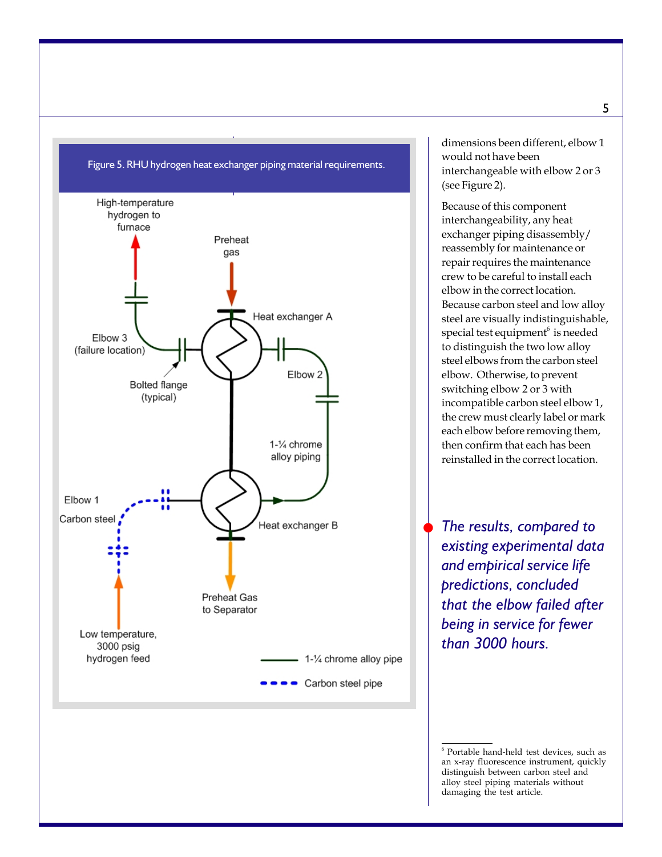

Figure 5. RHU hydrogen heat exchanger piping material requirements.

dimensions been different, elbow 1 would not have been interchangeable with elbow 2 or 3 (see Figure 2).

Because of this component interchangeability, any heat exchanger piping disassembly/ reassembly for maintenance or repair requires the maintenance crew to be careful to install each elbow in the correct location. Because carbon steel and low alloy steel are visually indistinguishable, special test equipment $^6$  is needed to distinguish the two low alloy steel elbows from the carbon steel elbow. Otherwise, to prevent switching elbow 2 or 3 with incompatible carbon steel elbow 1, the crew must clearly label or mark each elbow before removing them, then confirm that each has been reinstalled in the correct location.

*The results, compared to existing experimental data and empirical service life predictions, concluded that the elbow failed after being in service for fewer than 3000 hours.*

 $\blacklozenge$ 

<sup>6</sup> Portable hand-held test devices, such as an x-ray fluorescence instrument, quickly distinguish between carbon steel and alloy steel piping materials without damaging the test article.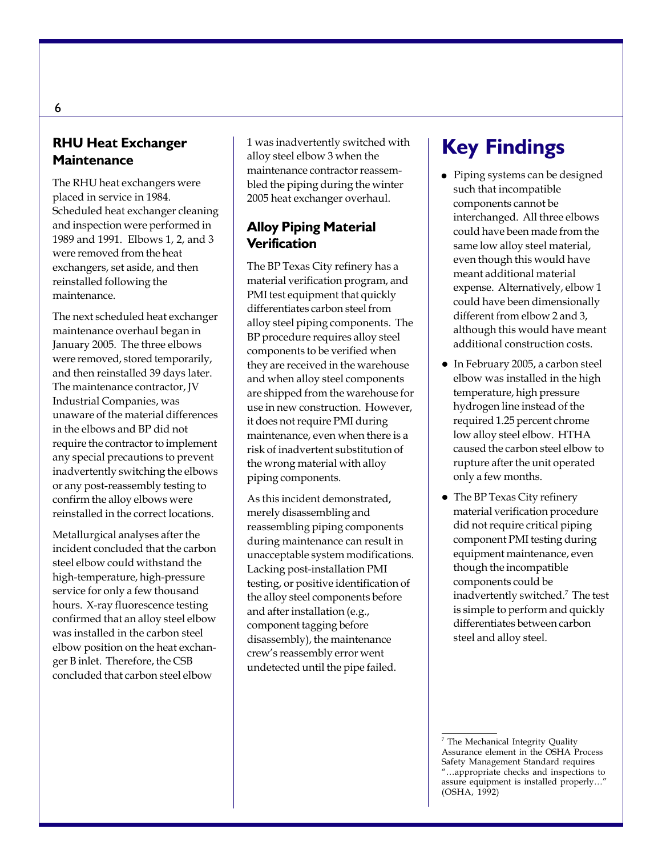#### **RHU Heat Exchanger Maintenance**

The RHU heat exchangers were placed in service in 1984. Scheduled heat exchanger cleaning and inspection were performed in 1989 and 1991. Elbows 1, 2, and 3 were removed from the heat exchangers, set aside, and then reinstalled following the maintenance.

The next scheduled heat exchanger maintenance overhaul began in January 2005. The three elbows were removed, stored temporarily, and then reinstalled 39 days later. The maintenance contractor, JV Industrial Companies, was unaware of the material differences in the elbows and BP did not require the contractor to implement any special precautions to prevent inadvertently switching the elbows or any post-reassembly testing to confirm the alloy elbows were reinstalled in the correct locations.

Metallurgical analyses after the incident concluded that the carbon steel elbow could withstand the high-temperature, high-pressure service for only a few thousand hours. X-ray fluorescence testing confirmed that an alloy steel elbow was installed in the carbon steel elbow position on the heat exchanger B inlet. Therefore, the CSB concluded that carbon steel elbow

1 was inadvertently switched with alloy steel elbow 3 when the maintenance contractor reassembled the piping during the winter 2005 heat exchanger overhaul.

#### **Alloy Piping Material Verification**

The BP Texas City refinery has a material verification program, and PMI test equipment that quickly differentiates carbon steel from alloy steel piping components. The BP procedure requires alloy steel components to be verified when they are received in the warehouse and when alloy steel components are shipped from the warehouse for use in new construction. However, it does not require PMI during maintenance, even when there is a risk of inadvertent substitution of the wrong material with alloy piping components.

As this incident demonstrated, merely disassembling and reassembling piping components during maintenance can result in unacceptable system modifications. Lacking post-installation PMI testing, or positive identification of the alloy steel components before and after installation (e.g., component tagging before disassembly), the maintenance crew's reassembly error went undetected until the pipe failed.

## **Key Findings**

- Piping systems can be designed such that incompatible components cannot be interchanged. All three elbows could have been made from the same low alloy steel material, even though this would have meant additional material expense. Alternatively, elbow 1 could have been dimensionally different from elbow 2 and 3, although this would have meant additional construction costs.
- In February 2005, a carbon steel elbow was installed in the high temperature, high pressure hydrogen line instead of the required 1.25 percent chrome low alloy steel elbow. HTHA caused the carbon steel elbow to rupture after the unit operated only a few months.
- The BP Texas City refinery material verification procedure did not require critical piping component PMI testing during equipment maintenance, even though the incompatible components could be inadvertently switched.7 The test is simple to perform and quickly differentiates between carbon steel and alloy steel.

<sup>7</sup> The Mechanical Integrity Quality Assurance element in the OSHA Process Safety Management Standard requires "…appropriate checks and inspections to assure equipment is installed properly…" (OSHA, 1992)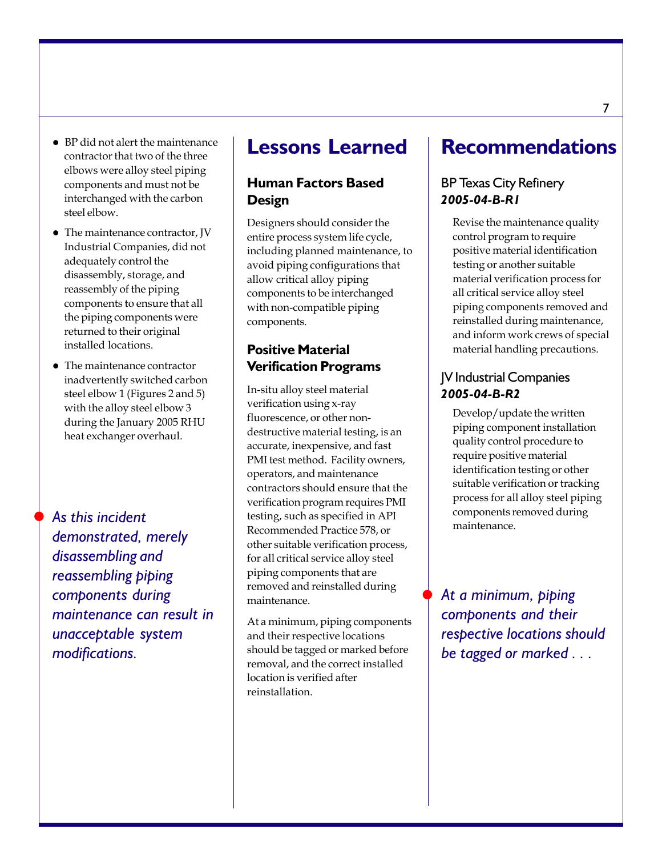- $\bullet$  BP did not alert the maintenance contractor that two of the three elbows were alloy steel piping components and must not be interchanged with the carbon steel elbow.
- The maintenance contractor, JV Industrial Companies, did not adequately control the disassembly, storage, and reassembly of the piping components to ensure that all the piping components were returned to their original installed locations.
- $\bullet$  The maintenance contractor inadvertently switched carbon steel elbow 1 (Figures 2 and 5) with the alloy steel elbow 3 during the January 2005 RHU heat exchanger overhaul.

*As this incident demonstrated, merely disassembling and reassembling piping components during maintenance can result in unacceptable system modifications.*

 $\bullet$ 

### **Lessons Learned**

#### **Human Factors Based Design**

Designers should consider the entire process system life cycle, including planned maintenance, to avoid piping configurations that allow critical alloy piping components to be interchanged with non-compatible piping components.

#### **Positive Material Verification Programs**

In-situ alloy steel material verification using x-ray fluorescence, or other nondestructive material testing, is an accurate, inexpensive, and fast PMI test method. Facility owners, operators, and maintenance contractors should ensure that the verification program requires PMI testing, such as specified in API Recommended Practice 578, or other suitable verification process, for all critical service alloy steel piping components that are removed and reinstalled during maintenance.

At a minimum, piping components and their respective locations should be tagged or marked before removal, and the correct installed location is verified after reinstallation.

### **Recommendations**

#### BP Texas City Refinery *2005-04-B-R1*

Revise the maintenance quality control program to require positive material identification testing or another suitable material verification process for all critical service alloy steel piping components removed and reinstalled during maintenance, and inform work crews of special material handling precautions.

#### JV Industrial Companies *2005-04-B-R2*

Develop/update the written piping component installation quality control procedure to require positive material identification testing or other suitable verification or tracking process for all alloy steel piping components removed during maintenance.

*At a minimum, piping components and their respective locations should be tagged or marked . . .*

 $\blacklozenge$